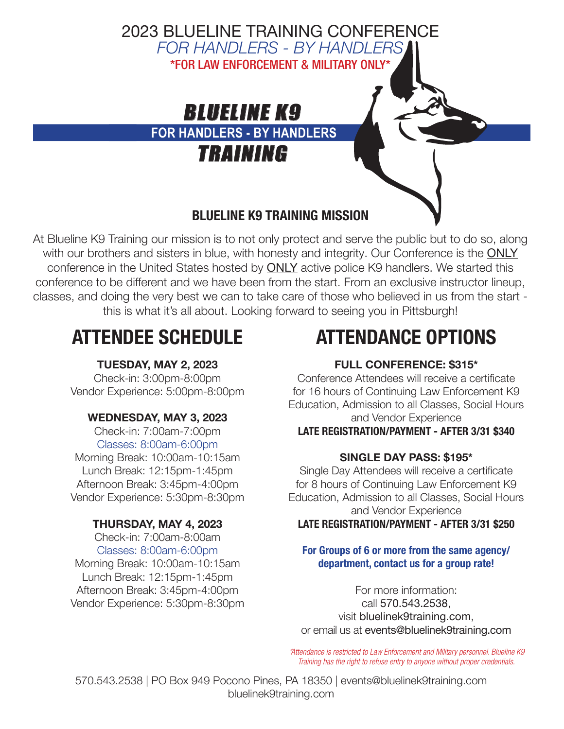

At Blueline K9 Training our mission is to not only protect and serve the public but to do so, along with our brothers and sisters in blue, with honesty and integrity. Our Conference is the ONLY conference in the United States hosted by **ONLY** active police K9 handlers. We started this conference to be different and we have been from the start. From an exclusive instructor lineup, classes, and doing the very best we can to take care of those who believed in us from the start this is what it's all about. Looking forward to seeing you in Pittsburgh!

# ATTENDEE SCHEDULE

### TUESDAY, MAY 2, 2023

Check-in: 3:00pm-8:00pm Vendor Experience: 5:00pm-8:00pm

### WEDNESDAY, MAY 3, 2023

Check-in: 7:00am-7:00pm Classes: 8:00am-6:00pm Morning Break: 10:00am-10:15am Lunch Break: 12:15pm-1:45pm Afternoon Break: 3:45pm-4:00pm

Vendor Experience: 5:30pm-8:30pm

### THURSDAY, MAY 4, 2023

Check-in: 7:00am-8:00am Classes: 8:00am-6:00pm Morning Break: 10:00am-10:15am Lunch Break: 12:15pm-1:45pm Afternoon Break: 3:45pm-4:00pm Vendor Experience: 5:30pm-8:30pm

## ATTENDANCE OPTIONS

## FULL CONFERENCE: \$315\*

Conference Attendees will receive a certificate for 16 hours of Continuing Law Enforcement K9 Education, Admission to all Classes, Social Hours and Vendor Experience LATE REGISTRATION/PAYMENT - AFTER 3/31 \$340

### SINGLE DAY PASS: \$195\*

Single Day Attendees will receive a certificate for 8 hours of Continuing Law Enforcement K9 Education, Admission to all Classes, Social Hours and Vendor Experience LATE REGISTRATION/PAYMENT - AFTER 3/31 \$250

#### For Groups of 6 or more from the same agency/ department, contact us for a group rate!

For more information: call 570.543.2538, visit bluelinek9training.com, or email us at events@bluelinek9training.com

*\*Attendance is restricted to Law Enforcement and Military personnel. Blueline K9 Training has the right to refuse entry to anyone without proper credentials.*

570.543.2538 | PO Box 949 Pocono Pines, PA 18350 | events@bluelinek9training.com bluelinek9training.com